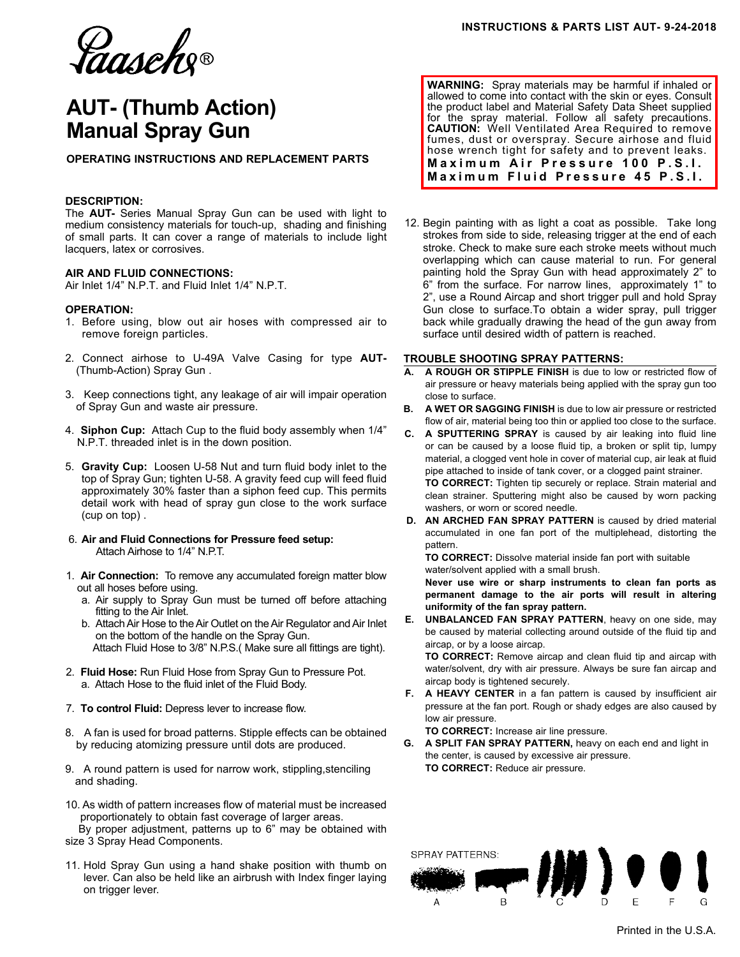Ca*aseh*g®

# **AUT- (Thumb Action) Manual Spray Gun**

**OPERATING INSTRUCTIONS AND REPLACEMENT PARTS**

## **DESCRIPTION:**

The **AUT-** Series Manual Spray Gun can be used with light to medium consistency materials for touch-up, shading and finishing of small parts. It can cover a range of materials to include light lacquers, latex or corrosives.

## **AIR AND FLUID CONNECTIONS:**

Air Inlet 1/4" N.P.T. and Fluid Inlet 1/4" N.P.T.

## **OPERATION:**

- 1. Before using, blow out air hoses with compressed air to remove foreign particles.
- 2. Connect airhose to U-49A Valve Casing for type **AUT-** (Thumb-Action) Spray Gun .
- 3. Keep connections tight, any leakage of air will impair operation of Spray Gun and waste air pressure.
- 4. **Siphon Cup:** Attach Cup to the fluid body assembly when 1/4" N.P.T. threaded inlet is in the down position.
- 5. **Gravity Cup:** Loosen U-58 Nut and turn fluid body inlet to the top of Spray Gun; tighten U-58. A gravity feed cup will feed fluid approximately 30% faster than a siphon feed cup. This permits detail work with head of spray gun close to the work surface (cup on top) .
- 6. **Air and Fluid Connections for Pressure feed setup:** Attach Airhose to 1/4" N.P.T.
- 1. **Air Connection:** To remove any accumulated foreign matter blow out all hoses before using.
	- a. Air supply to Spray Gun must be turned off before attaching fitting to the Air Inlet.
	- b. Attach Air Hose to the Air Outlet on the Air Regulator and Air Inlet on the bottom of the handle on the Spray Gun. Attach Fluid Hose to 3/8" N.P.S.( Make sure all fittings are tight).
- 2. **Fluid Hose:** Run Fluid Hose from Spray Gun to Pressure Pot. a. Attach Hose to the fluid inlet of the Fluid Body.
- 7. **To control Fluid:** Depress lever to increase flow.
- 8. A fan is used for broad patterns. Stipple effects can be obtained by reducing atomizing pressure until dots are produced.
- 9. A round pattern is used for narrow work, stippling,stenciling and shading.

10. As width of pattern increases flow of material must be increased proportionately to obtain fast coverage of larger areas. By proper adjustment, patterns up to 6" may be obtained with size 3 Spray Head Components.

11. Hold Spray Gun using a hand shake position with thumb on lever. Can also be held like an airbrush with Index finger laying on trigger lever.

**WARNING:** Spray materials may be harmful if inhaled or allowed to come into contact with the skin or eyes. Consult the product label and Material Safety Data Sheet supplied for the spray material. Follow all safety precautions. **CAUTION:** Well Ventilated Area Required to remove fumes, dust or overspray. Secure airhose and fluid hose wrench tight for safety and to prevent leaks. **Maximum Air Pressure 100 P.S.I. Maximum Fluid Pressure 45 P.S.I.**

12. Begin painting with as light a coat as possible. Take long strokes from side to side, releasing trigger at the end of each stroke. Check to make sure each stroke meets without much overlapping which can cause material to run. For general painting hold the Spray Gun with head approximately 2" to 6" from the surface. For narrow lines, approximately 1" to 2", use a Round Aircap and short trigger pull and hold Spray Gun close to surface.To obtain a wider spray, pull trigger back while gradually drawing the head of the gun away from surface until desired width of pattern is reached.

### **TROUBLE SHOOTING SPRAY PATTERNS:**

- **A. A ROUGH OR STIPPLE FINISH** is due to low or restricted flow of air pressure or heavy materials being applied with the spray gun too close to surface.
- **B. A WET OR SAGGING FINISH** is due to low air pressure or restricted flow of air, material being too thin or applied too close to the surface.
- **C. A SPUTTERING SPRAY** is caused by air leaking into fluid line or can be caused by a loose fluid tip, a broken or split tip, lumpy material, a clogged vent hole in cover of material cup, air leak at fluid pipe attached to inside of tank cover, or a clogged paint strainer.  **TO CORRECT:** Tighten tip securely or replace. Strain material and clean strainer. Sputtering might also be caused by worn packing washers, or worn or scored needle.
- **D. AN ARCHED FAN SPRAY PATTERN** is caused by dried material accumulated in one fan port of the multiplehead, distorting the pattern.

 **TO CORRECT:** Dissolve material inside fan port with suitable water/solvent applied with a small brush.

 **Never use wire or sharp instruments to clean fan ports as permanent damage to the air ports will result in altering uniformity of the fan spray pattern.**

**E. UNBALANCED FAN SPRAY PATTERN**, heavy on one side, may be caused by material collecting around outside of the fluid tip and aircap, or by a loose aircap.

 **TO CORRECT:** Remove aircap and clean fluid tip and aircap with water/solvent, dry with air pressure. Always be sure fan aircap and aircap body is tightened securely.

**F. A HEAVY CENTER** in a fan pattern is caused by insufficient air pressure at the fan port. Rough or shady edges are also caused by low air pressure.

**TO CORRECT:** Increase air line pressure.

**G. A SPLIT FAN SPRAY PATTERN,** heavy on each end and light in the center, is caused by excessive air pressure. **TO CORRECT:** Reduce air pressure.



Printed in the U.S.A.